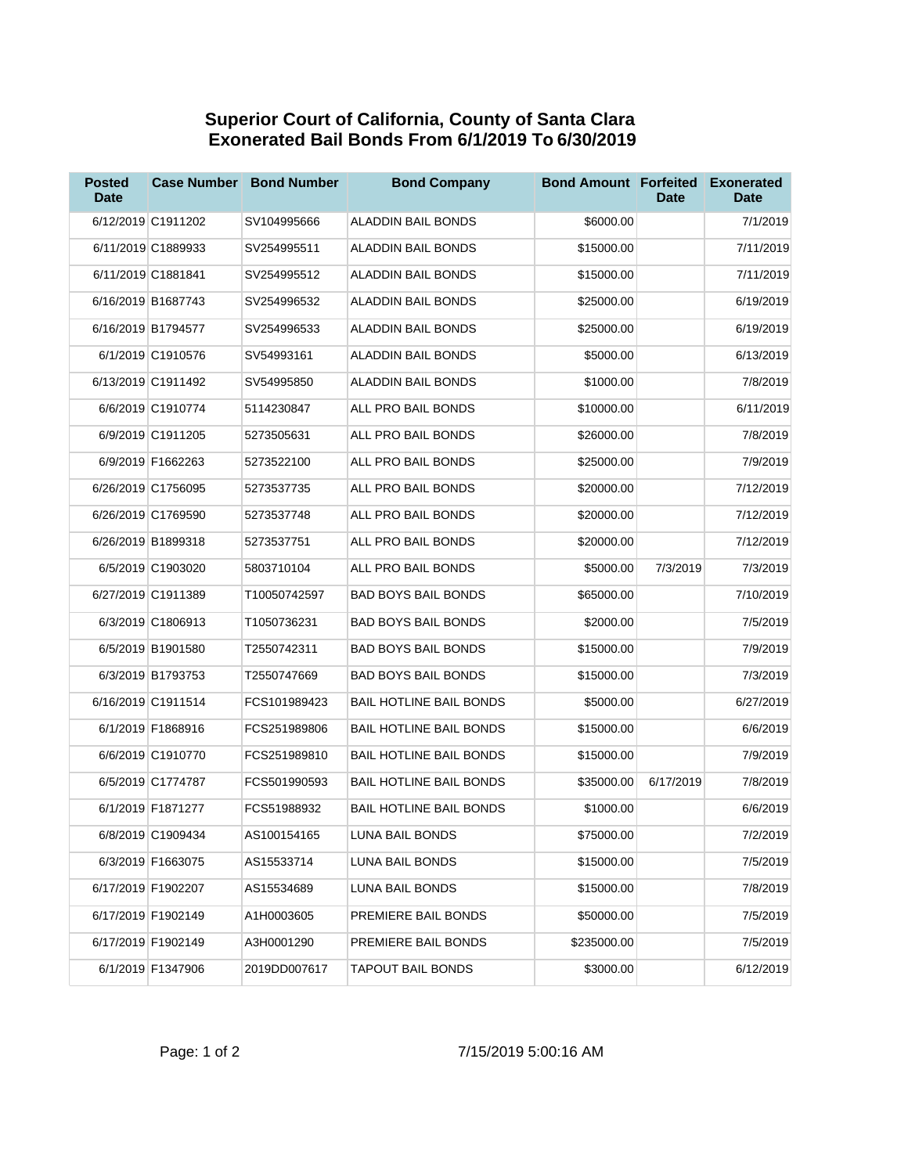## **Superior Court of California, County of Santa Clara Exonerated Bail Bonds From 6/1/2019 To 6/30/2019**

| <b>Posted</b><br><b>Date</b> | <b>Case Number</b> | <b>Bond Number</b> | <b>Bond Company</b>            | <b>Bond Amount Forfeited</b> | <b>Date</b> | <b>Exonerated</b><br><b>Date</b> |
|------------------------------|--------------------|--------------------|--------------------------------|------------------------------|-------------|----------------------------------|
|                              | 6/12/2019 C1911202 | SV104995666        | <b>ALADDIN BAIL BONDS</b>      | \$6000.00                    |             | 7/1/2019                         |
|                              | 6/11/2019 C1889933 | SV254995511        | ALADDIN BAIL BONDS             | \$15000.00                   |             | 7/11/2019                        |
|                              | 6/11/2019 C1881841 | SV254995512        | ALADDIN BAIL BONDS             | \$15000.00                   |             | 7/11/2019                        |
|                              | 6/16/2019 B1687743 | SV254996532        | ALADDIN BAIL BONDS             | \$25000.00                   |             | 6/19/2019                        |
|                              | 6/16/2019 B1794577 | SV254996533        | ALADDIN BAIL BONDS             | \$25000.00                   |             | 6/19/2019                        |
|                              | 6/1/2019 C1910576  | SV54993161         | ALADDIN BAIL BONDS             | \$5000.00                    |             | 6/13/2019                        |
|                              | 6/13/2019 C1911492 | SV54995850         | ALADDIN BAIL BONDS             | \$1000.00                    |             | 7/8/2019                         |
|                              | 6/6/2019 C1910774  | 5114230847         | ALL PRO BAIL BONDS             | \$10000.00                   |             | 6/11/2019                        |
|                              | 6/9/2019 C1911205  | 5273505631         | ALL PRO BAIL BONDS             | \$26000.00                   |             | 7/8/2019                         |
|                              | 6/9/2019 F1662263  | 5273522100         | ALL PRO BAIL BONDS             | \$25000.00                   |             | 7/9/2019                         |
|                              | 6/26/2019 C1756095 | 5273537735         | ALL PRO BAIL BONDS             | \$20000.00                   |             | 7/12/2019                        |
|                              | 6/26/2019 C1769590 | 5273537748         | ALL PRO BAIL BONDS             | \$20000.00                   |             | 7/12/2019                        |
|                              | 6/26/2019 B1899318 | 5273537751         | ALL PRO BAIL BONDS             | \$20000.00                   |             | 7/12/2019                        |
|                              | 6/5/2019 C1903020  | 5803710104         | ALL PRO BAIL BONDS             | \$5000.00                    | 7/3/2019    | 7/3/2019                         |
|                              | 6/27/2019 C1911389 | T10050742597       | <b>BAD BOYS BAIL BONDS</b>     | \$65000.00                   |             | 7/10/2019                        |
|                              | 6/3/2019 C1806913  | T1050736231        | <b>BAD BOYS BAIL BONDS</b>     | \$2000.00                    |             | 7/5/2019                         |
|                              | 6/5/2019 B1901580  | T2550742311        | <b>BAD BOYS BAIL BONDS</b>     | \$15000.00                   |             | 7/9/2019                         |
|                              | 6/3/2019 B1793753  | T2550747669        | <b>BAD BOYS BAIL BONDS</b>     | \$15000.00                   |             | 7/3/2019                         |
|                              | 6/16/2019 C1911514 | FCS101989423       | <b>BAIL HOTLINE BAIL BONDS</b> | \$5000.00                    |             | 6/27/2019                        |
|                              | 6/1/2019 F1868916  | FCS251989806       | <b>BAIL HOTLINE BAIL BONDS</b> | \$15000.00                   |             | 6/6/2019                         |
|                              | 6/6/2019 C1910770  | FCS251989810       | <b>BAIL HOTLINE BAIL BONDS</b> | \$15000.00                   |             | 7/9/2019                         |
|                              | 6/5/2019 C1774787  | FCS501990593       | <b>BAIL HOTLINE BAIL BONDS</b> | \$35000.00                   | 6/17/2019   | 7/8/2019                         |
|                              | 6/1/2019 F1871277  | FCS51988932        | <b>BAIL HOTLINE BAIL BONDS</b> | \$1000.00                    |             | 6/6/2019                         |
|                              | 6/8/2019 C1909434  | AS100154165        | LUNA BAIL BONDS                | \$75000.00                   |             | 7/2/2019                         |
|                              | 6/3/2019 F1663075  | AS15533714         | LUNA BAIL BONDS                | \$15000.00                   |             | 7/5/2019                         |
|                              | 6/17/2019 F1902207 | AS15534689         | LUNA BAIL BONDS                | \$15000.00                   |             | 7/8/2019                         |
|                              | 6/17/2019 F1902149 | A1H0003605         | PREMIERE BAIL BONDS            | \$50000.00                   |             | 7/5/2019                         |
|                              | 6/17/2019 F1902149 | A3H0001290         | PREMIERE BAIL BONDS            | \$235000.00                  |             | 7/5/2019                         |
|                              | 6/1/2019 F1347906  | 2019DD007617       | TAPOUT BAIL BONDS              | \$3000.00                    |             | 6/12/2019                        |